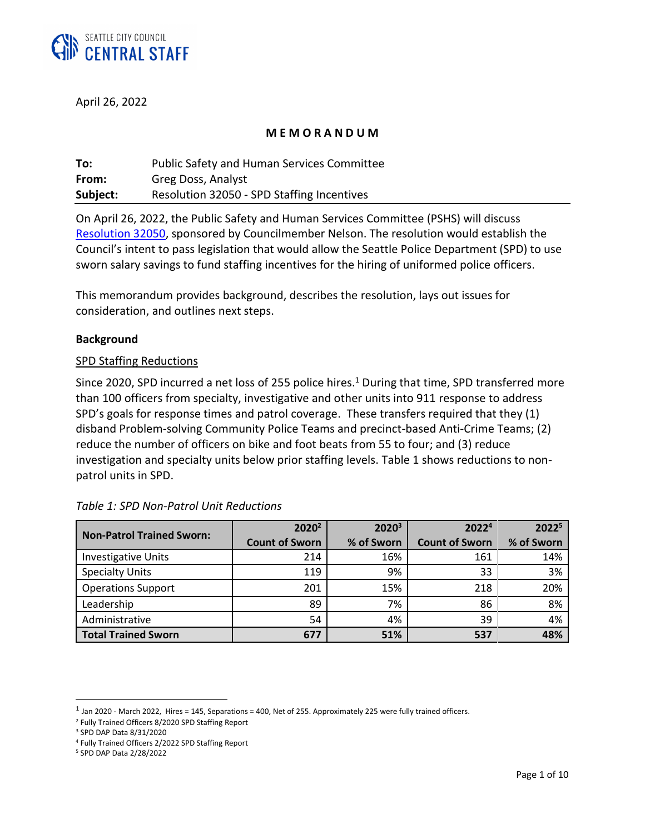

April 26, 2022

### **M E M O R A N D U M**

| To:      | <b>Public Safety and Human Services Committee</b> |
|----------|---------------------------------------------------|
| From:    | Greg Doss, Analyst                                |
| Subject: | Resolution 32050 - SPD Staffing Incentives        |

On April 26, 2022, the Public Safety and Human Services Committee (PSHS) will discuss [Resolution 32050](https://seattle.legistar.com/LegislationDetail.aspx?ID=5552184&GUID=F4FDB7B2-20D9-479C-B752-3A3E4A53ACFC&Options=ID|Text|&Search=32050)[,](https://seattle.legistar.com/LegislationDetail.aspx?ID=5525094&GUID=6BE5C91B-F3E6-4DDA-B550-B6D3E8FB0DE1&Options=ID|Text|&Search=120284) sponsored by Councilmember Nelson. The resolution would establish the Council's intent to pass legislation that would allow the Seattle Police Department (SPD) to use sworn salary savings to fund staffing incentives for the hiring of uniformed police officers.

This memorandum provides background, describes the resolution, lays out issues for consideration, and outlines next steps.

### **Background**

### SPD Staffing Reductions

Since 2020, SPD incurred a net loss of 255 police hires.<sup>1</sup> During that time, SPD transferred more than 100 officers from specialty, investigative and other units into 911 response to address SPD's goals for response times and patrol coverage. These transfers required that they (1) disband Problem-solving Community Police Teams and precinct-based Anti-Crime Teams; (2) reduce the number of officers on bike and foot beats from 55 to four; and (3) reduce investigation and specialty units below prior staffing levels. Table 1 shows reductions to nonpatrol units in SPD.

|                                  | 2020 <sup>2</sup>     | 2020 <sup>3</sup> | 20224                 | 20225      |
|----------------------------------|-----------------------|-------------------|-----------------------|------------|
| <b>Non-Patrol Trained Sworn:</b> | <b>Count of Sworn</b> | % of Sworn        | <b>Count of Sworn</b> | % of Sworn |
| <b>Investigative Units</b>       | 214                   | 16%               | 161                   | 14%        |
| <b>Specialty Units</b>           | 119                   | 9%                | 33                    | 3%         |
| <b>Operations Support</b>        | 201                   | 15%               | 218                   | 20%        |
| Leadership                       | 89                    | 7%                | 86                    | 8%         |
| Administrative                   | 54                    | 4%                | 39                    | 4%         |
| <b>Total Trained Sworn</b>       | 677                   | 51%               | 537                   | 48%        |

### *Table 1: SPD Non-Patrol Unit Reductions*

 $^1$  Jan 2020 - March 2022, Hires = 145, Separations = 400, Net of 255. Approximately 225 were fully trained officers.

<sup>2</sup> Fully Trained Officers 8/2020 SPD Staffing Report

<sup>3</sup> SPD DAP Data 8/31/2020

<sup>4</sup> Fully Trained Officers 2/2022 SPD Staffing Report

<sup>5</sup> SPD DAP Data 2/28/2022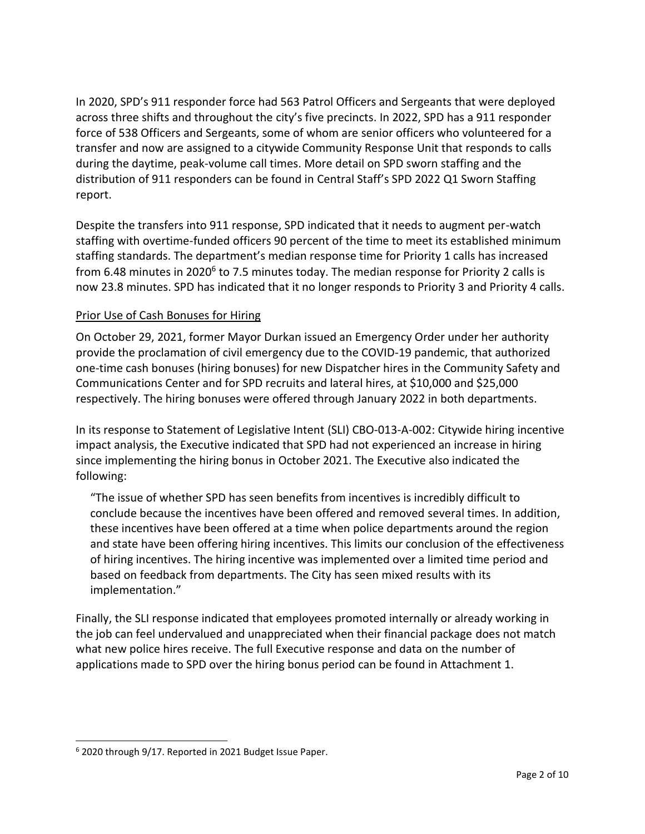In 2020, SPD's 911 responder force had 563 Patrol Officers and Sergeants that were deployed across three shifts and throughout the city's five precincts. In 2022, SPD has a 911 responder force of 538 Officers and Sergeants, some of whom are senior officers who volunteered for a transfer and now are assigned to a citywide Community Response Unit that responds to calls during the daytime, peak-volume call times. More detail on SPD sworn staffing and the distribution of 911 responders can be found in Central Staff's SPD 2022 Q1 Sworn Staffing report.

Despite the transfers into 911 response, SPD indicated that it needs to augment per-watch staffing with overtime-funded officers 90 percent of the time to meet its established minimum staffing standards. The department's median response time for Priority 1 calls has increased from 6.48 minutes in 2020<sup>6</sup> to 7.5 minutes today. The median response for Priority 2 calls is now 23.8 minutes. SPD has indicated that it no longer responds to Priority 3 and Priority 4 calls.

# Prior Use of Cash Bonuses for Hiring

On October 29, 2021, former Mayor Durkan issued an Emergency Order under her authority provide the proclamation of civil emergency due to the COVID-19 pandemic, that authorized one-time cash bonuses (hiring bonuses) for new Dispatcher hires in the Community Safety and Communications Center and for SPD recruits and lateral hires, at \$10,000 and \$25,000 respectively. The hiring bonuses were offered through January 2022 in both departments.

In its response to Statement of Legislative Intent (SLI) CBO-013-A-002: Citywide hiring incentive impact analysis, the Executive indicated that SPD had not experienced an increase in hiring since implementing the hiring bonus in October 2021. The Executive also indicated the following:

"The issue of whether SPD has seen benefits from incentives is incredibly difficult to conclude because the incentives have been offered and removed several times. In addition, these incentives have been offered at a time when police departments around the region and state have been offering hiring incentives. This limits our conclusion of the effectiveness of hiring incentives. The hiring incentive was implemented over a limited time period and based on feedback from departments. The City has seen mixed results with its implementation."

Finally, the SLI response indicated that employees promoted internally or already working in the job can feel undervalued and unappreciated when their financial package does not match what new police hires receive. The full Executive response and data on the number of applications made to SPD over the hiring bonus period can be found in Attachment 1.

<sup>6</sup> 2020 through 9/17. Reported in 2021 Budget Issue Paper.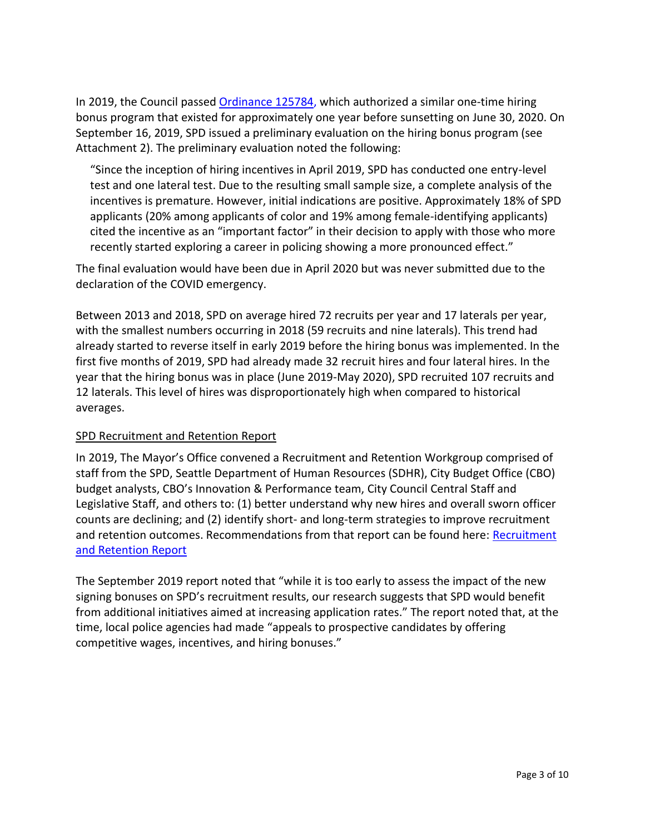In 2019, the Council passed [Ordinance 125784,](https://seattle.legistar.com/View.ashx?M=F&ID=7109058&GUID=562565AC-68E0-4272-BDC5-1B5AE51CD9DC) which authorized a similar one-time hiring bonus program that existed for approximately one year before sunsetting on June 30, 2020. On September 16, 2019, SPD issued a preliminary evaluation on the hiring bonus program (see Attachment 2). The preliminary evaluation noted the following:

"Since the inception of hiring incentives in April 2019, SPD has conducted one entry-level test and one lateral test. Due to the resulting small sample size, a complete analysis of the incentives is premature. However, initial indications are positive. Approximately 18% of SPD applicants (20% among applicants of color and 19% among female-identifying applicants) cited the incentive as an "important factor" in their decision to apply with those who more recently started exploring a career in policing showing a more pronounced effect."

The final evaluation would have been due in April 2020 but was never submitted due to the declaration of the COVID emergency.

Between 2013 and 2018, SPD on average hired 72 recruits per year and 17 laterals per year, with the smallest numbers occurring in 2018 (59 recruits and nine laterals). This trend had already started to reverse itself in early 2019 before the hiring bonus was implemented. In the first five months of 2019, SPD had already made 32 recruit hires and four lateral hires. In the year that the hiring bonus was in place (June 2019-May 2020), SPD recruited 107 recruits and 12 laterals. This level of hires was disproportionately high when compared to historical averages.

## SPD Recruitment and Retention Report

In 2019, The Mayor's Office convened a Recruitment and Retention Workgroup comprised of staff from the SPD, Seattle Department of Human Resources (SDHR), City Budget Office (CBO) budget analysts, CBO's Innovation & Performance team, City Council Central Staff and Legislative Staff, and others to: (1) better understand why new hires and overall sworn officer counts are declining; and (2) identify short- and long-term strategies to improve recruitment and retention outcomes. Recommendations from that report can be found here: Recruitment [and Retention Report](file:///C:/Users/dossg1/OneDrive%20-%20City%20of%20Seattle/Staffing/Recruitment%20and%20Report.pdf)

The September 2019 report noted that "while it is too early to assess the impact of the new signing bonuses on SPD's recruitment results, our research suggests that SPD would benefit from additional initiatives aimed at increasing application rates." The report noted that, at the time, local police agencies had made "appeals to prospective candidates by offering competitive wages, incentives, and hiring bonuses."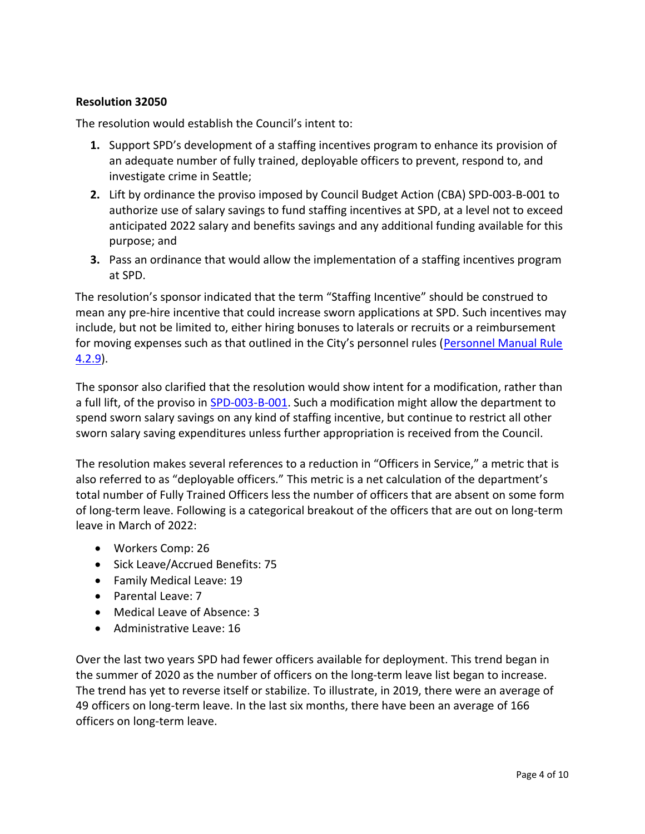# **Resolution 32050**

The resolution would establish the Council's intent to:

- **1.** Support SPD's development of a staffing incentives program to enhance its provision of an adequate number of fully trained, deployable officers to prevent, respond to, and investigate crime in Seattle;
- **2.** Lift by ordinance the proviso imposed by Council Budget Action (CBA) SPD-003-B-001 to authorize use of salary savings to fund staffing incentives at SPD, at a level not to exceed anticipated 2022 salary and benefits savings and any additional funding available for this purpose; and
- **3.** Pass an ordinance that would allow the implementation of a staffing incentives program at SPD.

The resolution's sponsor indicated that the term "Staffing Incentive" should be construed to mean any pre-hire incentive that could increase sworn applications at SPD. Such incentives may include, but not be limited to, either hiring bonuses to laterals or recruits or a reimbursement for moving expenses such as that outlined in the City's personnel rules ([Personnel Manual Rule](https://www.seattle.gov/documents/Departments/HumanResources/Rules%20and%20Resources/Personnel%20Rules/Personnel%20Rule%204.2%20200611.pdf)  [4.2.9\)](https://www.seattle.gov/documents/Departments/HumanResources/Rules%20and%20Resources/Personnel%20Rules/Personnel%20Rule%204.2%20200611.pdf).

The sponsor also clarified that the resolution would show intent for a modification, rather than a full lift, of the proviso in [SPD-003-B-001.](https://seattle.legistar.com/View.ashx?M=F&ID=9969212&GUID=DF72E92E-07B2-48B7-8F04-CF323E79AAAC) Such a modification might allow the department to spend sworn salary savings on any kind of staffing incentive, but continue to restrict all other sworn salary saving expenditures unless further appropriation is received from the Council.

The resolution makes several references to a reduction in "Officers in Service," a metric that is also referred to as "deployable officers." This metric is a net calculation of the department's total number of Fully Trained Officers less the number of officers that are absent on some form of long-term leave. Following is a categorical breakout of the officers that are out on long-term leave in March of 2022:

- Workers Comp: 26
- Sick Leave/Accrued Benefits: 75
- Family Medical Leave: 19
- Parental Leave: 7
- Medical Leave of Absence: 3
- Administrative Leave: 16

Over the last two years SPD had fewer officers available for deployment. This trend began in the summer of 2020 as the number of officers on the long-term leave list began to increase. The trend has yet to reverse itself or stabilize. To illustrate, in 2019, there were an average of 49 officers on long-term leave. In the last six months, there have been an average of 166 officers on long-term leave.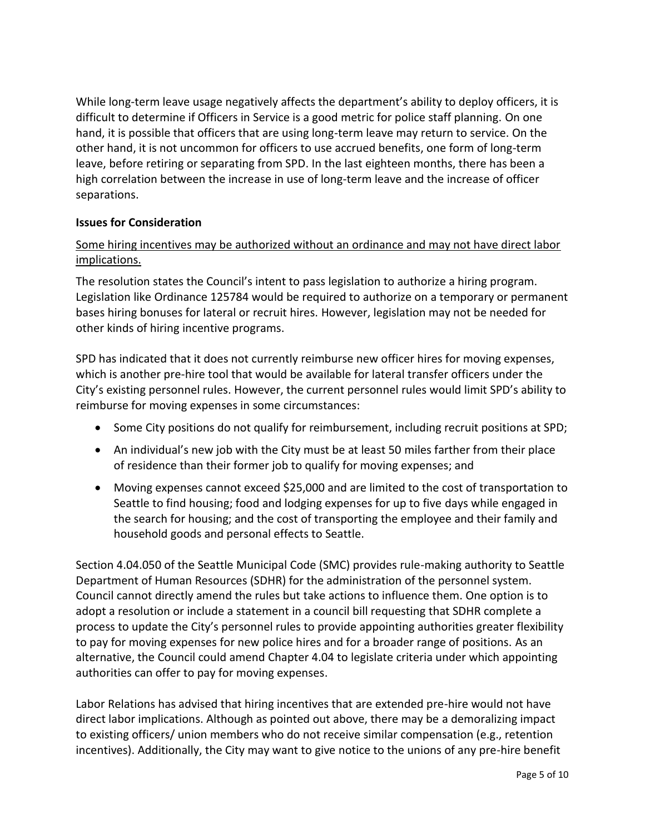While long-term leave usage negatively affects the department's ability to deploy officers, it is difficult to determine if Officers in Service is a good metric for police staff planning. On one hand, it is possible that officers that are using long-term leave may return to service. On the other hand, it is not uncommon for officers to use accrued benefits, one form of long-term leave, before retiring or separating from SPD. In the last eighteen months, there has been a high correlation between the increase in use of long-term leave and the increase of officer separations.

## **Issues for Consideration**

# Some hiring incentives may be authorized without an ordinance and may not have direct labor implications.

The resolution states the Council's intent to pass legislation to authorize a hiring program. Legislation like Ordinance 125784 would be required to authorize on a temporary or permanent bases hiring bonuses for lateral or recruit hires. However, legislation may not be needed for other kinds of hiring incentive programs.

SPD has indicated that it does not currently reimburse new officer hires for moving expenses, which is another pre-hire tool that would be available for lateral transfer officers under the City's existing personnel rules. However, the current personnel rules would limit SPD's ability to reimburse for moving expenses in some circumstances:

- Some City positions do not qualify for reimbursement, including recruit positions at SPD;
- An individual's new job with the City must be at least 50 miles farther from their place of residence than their former job to qualify for moving expenses; and
- Moving expenses cannot exceed \$25,000 and are limited to the cost of transportation to Seattle to find housing; food and lodging expenses for up to five days while engaged in the search for housing; and the cost of transporting the employee and their family and household goods and personal effects to Seattle.

Section 4.04.050 of the Seattle Municipal Code (SMC) provides rule-making authority to Seattle Department of Human Resources (SDHR) for the administration of the personnel system. Council cannot directly amend the rules but take actions to influence them. One option is to adopt a resolution or include a statement in a council bill requesting that SDHR complete a process to update the City's personnel rules to provide appointing authorities greater flexibility to pay for moving expenses for new police hires and for a broader range of positions. As an alternative, the Council could amend Chapter 4.04 to legislate criteria under which appointing authorities can offer to pay for moving expenses.

Labor Relations has advised that hiring incentives that are extended pre-hire would not have direct labor implications. Although as pointed out above, there may be a demoralizing impact to existing officers/ union members who do not receive similar compensation (e.g., retention incentives). Additionally, the City may want to give notice to the unions of any pre-hire benefit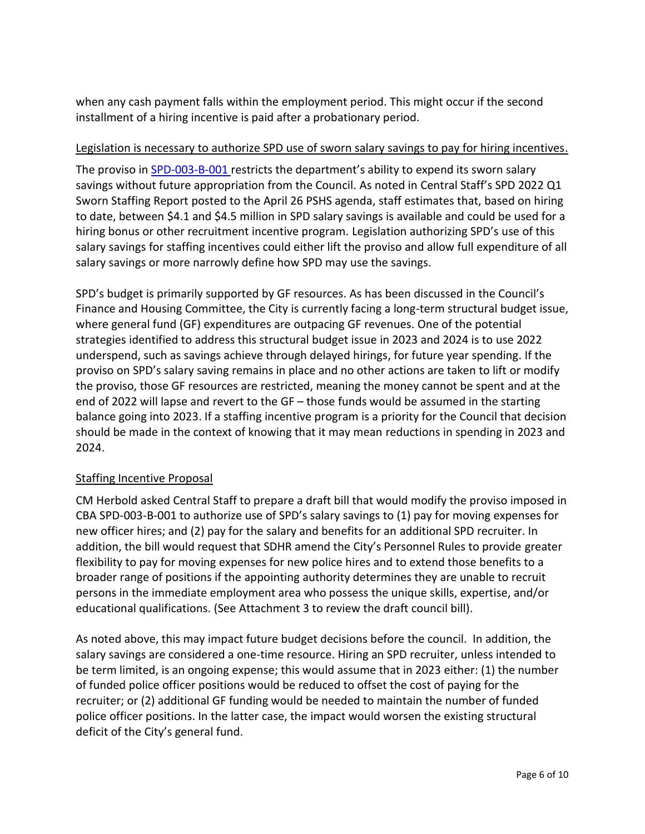when any cash payment falls within the employment period. This might occur if the second installment of a hiring incentive is paid after a probationary period.

## Legislation is necessary to authorize SPD use of sworn salary savings to pay for hiring incentives.

The proviso in [SPD-003-B-001](https://seattle.legistar.com/View.ashx?M=F&ID=9969212&GUID=DF72E92E-07B2-48B7-8F04-CF323E79AAAC) restricts the department's ability to expend its sworn salary savings without future appropriation from the Council. As noted in Central Staff's SPD 2022 Q1 Sworn Staffing Report posted to the April 26 PSHS agenda, staff estimates that, based on hiring to date, between \$4.1 and \$4.5 million in SPD salary savings is available and could be used for a hiring bonus or other recruitment incentive program. Legislation authorizing SPD's use of this salary savings for staffing incentives could either lift the proviso and allow full expenditure of all salary savings or more narrowly define how SPD may use the savings.

SPD's budget is primarily supported by GF resources. As has been discussed in the Council's Finance and Housing Committee, the City is currently facing a long-term structural budget issue, where general fund (GF) expenditures are outpacing GF revenues. One of the potential strategies identified to address this structural budget issue in 2023 and 2024 is to use 2022 underspend, such as savings achieve through delayed hirings, for future year spending. If the proviso on SPD's salary saving remains in place and no other actions are taken to lift or modify the proviso, those GF resources are restricted, meaning the money cannot be spent and at the end of 2022 will lapse and revert to the GF – those funds would be assumed in the starting balance going into 2023. If a staffing incentive program is a priority for the Council that decision should be made in the context of knowing that it may mean reductions in spending in 2023 and 2024.

# Staffing Incentive Proposal

CM Herbold asked Central Staff to prepare a draft bill that would modify the proviso imposed in CBA SPD-003-B-001 to authorize use of SPD's salary savings to (1) pay for moving expenses for new officer hires; and (2) pay for the salary and benefits for an additional SPD recruiter. In addition, the bill would request that SDHR amend the City's Personnel Rules to provide greater flexibility to pay for moving expenses for new police hires and to extend those benefits to a broader range of positions if the appointing authority determines they are unable to recruit persons in the immediate employment area who possess the unique skills, expertise, and/or educational qualifications. (See Attachment 3 to review the draft council bill).

As noted above, this may impact future budget decisions before the council. In addition, the salary savings are considered a one-time resource. Hiring an SPD recruiter, unless intended to be term limited, is an ongoing expense; this would assume that in 2023 either: (1) the number of funded police officer positions would be reduced to offset the cost of paying for the recruiter; or (2) additional GF funding would be needed to maintain the number of funded police officer positions. In the latter case, the impact would worsen the existing structural deficit of the City's general fund.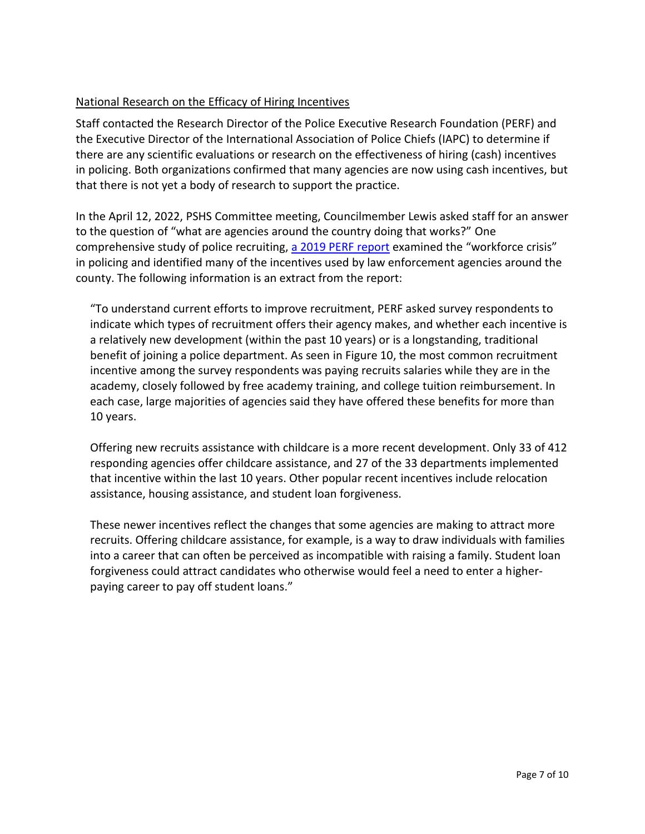# National Research on the Efficacy of Hiring Incentives

Staff contacted the Research Director of the Police Executive Research Foundation (PERF) and the Executive Director of the International Association of Police Chiefs (IAPC) to determine if there are any scientific evaluations or research on the effectiveness of hiring (cash) incentives in policing. Both organizations confirmed that many agencies are now using cash incentives, but that there is not yet a body of research to support the practice.

In the April 12, 2022, PSHS Committee meeting, Councilmember Lewis asked staff for an answer to the question of "what are agencies around the country doing that works?" One comprehensive study of police recruiting, [a 2019 PERF report](file:///C:/Users/dossg1/OneDrive%20-%20City%20of%20Seattle/Staffing/WorkforceCrisis.pdf) examined the "workforce crisis" in policing and identified many of the incentives used by law enforcement agencies around the county. The following information is an extract from the report:

"To understand current efforts to improve recruitment, PERF asked survey respondents to indicate which types of recruitment offers their agency makes, and whether each incentive is a relatively new development (within the past 10 years) or is a longstanding, traditional benefit of joining a police department. As seen in Figure 10, the most common recruitment incentive among the survey respondents was paying recruits salaries while they are in the academy, closely followed by free academy training, and college tuition reimbursement. In each case, large majorities of agencies said they have offered these benefits for more than 10 years.

Offering new recruits assistance with childcare is a more recent development. Only 33 of 412 responding agencies offer childcare assistance, and 27 of the 33 departments implemented that incentive within the last 10 years. Other popular recent incentives include relocation assistance, housing assistance, and student loan forgiveness.

These newer incentives reflect the changes that some agencies are making to attract more recruits. Offering childcare assistance, for example, is a way to draw individuals with families into a career that can often be perceived as incompatible with raising a family. Student loan forgiveness could attract candidates who otherwise would feel a need to enter a higherpaying career to pay off student loans."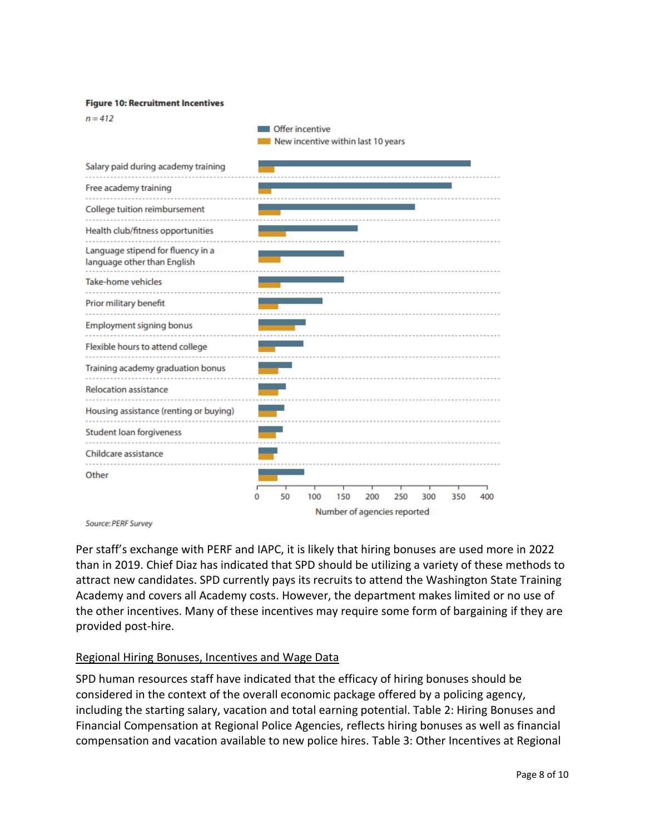#### **Figure 10: Recruitment Incentives**

 $n = 412$ 

Offer incentive New incentive within last 10 years

| Salary paid during academy training                              |    |     |                             |     |     |     |     |     |
|------------------------------------------------------------------|----|-----|-----------------------------|-----|-----|-----|-----|-----|
| Free academy training                                            |    |     |                             |     |     |     |     |     |
| College tuition reimbursement                                    |    |     |                             |     |     |     |     |     |
| Health club/fitness opportunities                                |    |     |                             |     |     |     |     |     |
| Language stipend for fluency in a<br>language other than English |    |     |                             |     |     |     |     |     |
| <b>Take-home vehicles</b>                                        |    |     |                             |     |     |     |     |     |
| Prior military benefit                                           |    |     |                             |     |     |     |     |     |
| <b>Employment signing bonus</b>                                  |    |     |                             |     |     |     |     |     |
| Flexible hours to attend college                                 |    |     |                             |     |     |     |     |     |
| Training academy graduation bonus                                |    |     |                             |     |     |     |     |     |
| <b>Relocation assistance</b>                                     |    |     |                             |     |     |     |     |     |
| Housing assistance (renting or buying)                           |    |     |                             |     |     |     |     |     |
| <b>Student loan forgiveness</b>                                  |    |     |                             |     |     |     |     |     |
| Childcare assistance                                             |    |     |                             |     |     |     |     |     |
| Other                                                            |    |     |                             |     |     |     |     |     |
|                                                                  | 50 | 100 | 150                         | 200 | 250 | 300 | 350 | 400 |
|                                                                  |    |     | Number of agencies reported |     |     |     |     |     |

Source: PERF Survey

Per staff's exchange with PERF and IAPC, it is likely that hiring bonuses are used more in 2022 than in 2019. Chief Diaz has indicated that SPD should be utilizing a variety of these methods to attract new candidates. SPD currently pays its recruits to attend the Washington State Training Academy and covers all Academy costs. However, the department makes limited or no use of the other incentives. Many of these incentives may require some form of bargaining if they are provided post-hire.

### Regional Hiring Bonuses, Incentives and Wage Data

SPD human resources staff have indicated that the efficacy of hiring bonuses should be considered in the context of the overall economic package offered by a policing agency, including the starting salary, vacation and total earning potential. Table 2: Hiring Bonuses and Financial Compensation at Regional Police Agencies, reflects hiring bonuses as well as financial compensation and vacation available to new police hires. Table 3: Other Incentives at Regional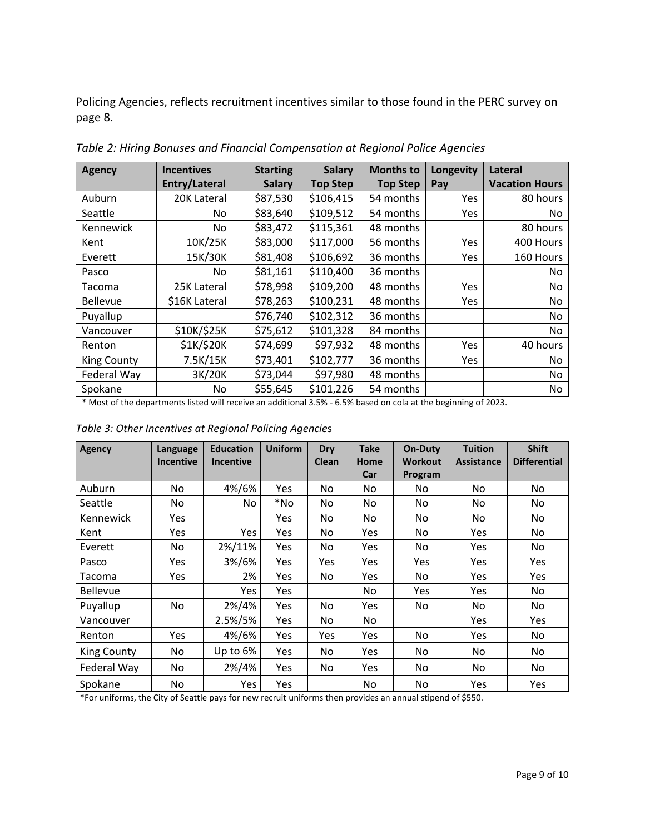Policing Agencies, reflects recruitment incentives similar to those found in the PERC survey on page 8.

| <b>Agency</b>      | <b>Incentives</b> | <b>Starting</b> | <b>Salary</b>   | <b>Months to</b> | Longevity  | Lateral               |
|--------------------|-------------------|-----------------|-----------------|------------------|------------|-----------------------|
|                    | Entry/Lateral     | <b>Salary</b>   | <b>Top Step</b> | <b>Top Step</b>  | Pay        | <b>Vacation Hours</b> |
| Auburn             | 20K Lateral       | \$87,530        | \$106,415       | 54 months        | <b>Yes</b> | 80 hours              |
| Seattle            | No.               | \$83,640        | \$109,512       | 54 months        | Yes.       | No.                   |
| Kennewick          | No.               | \$83,472        | \$115,361       | 48 months        |            | 80 hours              |
| Kent               | 10K/25K           | \$83,000        | \$117,000       | 56 months        | Yes        | 400 Hours             |
| Everett            | 15K/30K           | \$81,408        | \$106,692       | 36 months        | Yes        | 160 Hours             |
| Pasco              | No.               | \$81,161        | \$110,400       | 36 months        |            | No                    |
| Tacoma             | 25K Lateral       | \$78,998        | \$109,200       | 48 months        | Yes        | No.                   |
| <b>Bellevue</b>    | \$16K Lateral     | \$78,263        | \$100,231       | 48 months        | <b>Yes</b> | No.                   |
| Puyallup           |                   | \$76,740        | \$102,312       | 36 months        |            | No.                   |
| Vancouver          | \$10K/\$25K       | \$75,612        | \$101,328       | 84 months        |            | No.                   |
| Renton             | \$1K/\$20K        | \$74,699        | \$97,932        | 48 months        | Yes        | 40 hours              |
| <b>King County</b> | 7.5K/15K          | \$73,401        | \$102,777       | 36 months        | Yes        | No.                   |
| Federal Way        | 3K/20K            | \$73,044        | \$97,980        | 48 months        |            | No.                   |
| Spokane            | No                | \$55,645        | \$101,226       | 54 months        |            | No                    |

*Table 2: Hiring Bonuses and Financial Compensation at Regional Police Agencies*

\* Most of the departments listed will receive an additional 3.5% - 6.5% based on cola at the beginning of 2023.

| <b>Agency</b>      | Language         | <b>Education</b> | <b>Uniform</b> | <b>Dry</b> | <b>Take</b> | <b>On-Duty</b> | <b>Tuition</b>    | <b>Shift</b>        |
|--------------------|------------------|------------------|----------------|------------|-------------|----------------|-------------------|---------------------|
|                    | <b>Incentive</b> | <b>Incentive</b> |                | Clean      | <b>Home</b> | Workout        | <b>Assistance</b> | <b>Differential</b> |
|                    |                  |                  |                |            | Car         | Program        |                   |                     |
| Auburn             | No               | 4%/6%            | Yes            | No.        | No          | No             | No.               | No                  |
| Seattle            | No               | No               | *No            | No         | No          | No.            | No.               | No                  |
| Kennewick          | Yes              |                  | <b>Yes</b>     | No.        | No          | No.            | No.               | No                  |
| Kent               | Yes              | Yes              | Yes            | No.        | Yes         | No.            | Yes               | No                  |
| Everett            | No               | 2%/11%           | Yes            | No.        | Yes         | No.            | Yes               | No.                 |
| Pasco              | Yes              | 3%/6%            | Yes            | <b>Yes</b> | Yes         | Yes            | Yes               | Yes                 |
| Tacoma             | Yes              | 2%               | Yes            | No.        | Yes         | No.            | Yes               | Yes                 |
| <b>Bellevue</b>    |                  | Yes.             | Yes            |            | No          | Yes            | Yes               | No                  |
| Puyallup           | No               | 2%/4%            | Yes            | No.        | Yes         | No             | No                | No                  |
| Vancouver          |                  | 2.5%/5%          | Yes            | No         | No          |                | Yes               | Yes                 |
| Renton             | Yes              | 4%/6%            | Yes            | <b>Yes</b> | Yes         | No.            | Yes               | No                  |
| <b>King County</b> | No               | Up to 6%         | Yes            | No.        | Yes         | No.            | No.               | No                  |
| Federal Way        | No.              | 2%/4%            | Yes            | No.        | Yes         | No.            | No.               | No                  |
| Spokane            | No               | Yes              | Yes            |            | No          | No             | Yes               | Yes                 |

*Table 3: Other Incentives at Regional Policing Agencie*s

\*For uniforms, the City of Seattle pays for new recruit uniforms then provides an annual stipend of \$550.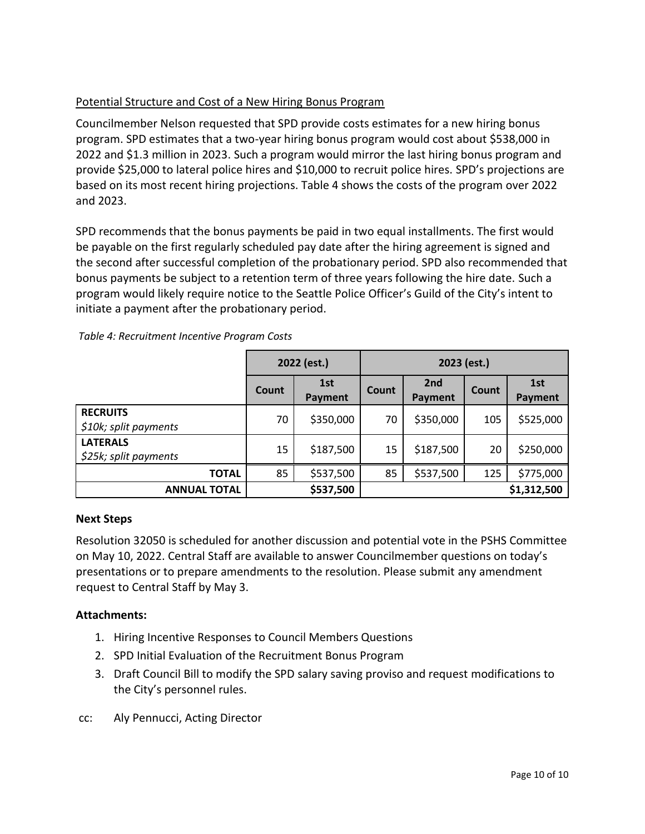# Potential Structure and Cost of a New Hiring Bonus Program

Councilmember Nelson requested that SPD provide costs estimates for a new hiring bonus program. SPD estimates that a two-year hiring bonus program would cost about \$538,000 in 2022 and \$1.3 million in 2023. Such a program would mirror the last hiring bonus program and provide \$25,000 to lateral police hires and \$10,000 to recruit police hires. SPD's projections are based on its most recent hiring projections. Table 4 shows the costs of the program over 2022 and 2023.

SPD recommends that the bonus payments be paid in two equal installments. The first would be payable on the first regularly scheduled pay date after the hiring agreement is signed and the second after successful completion of the probationary period. SPD also recommended that bonus payments be subject to a retention term of three years following the hire date. Such a program would likely require notice to the Seattle Police Officer's Guild of the City's intent to initiate a payment after the probationary period.

|                                          | 2022 (est.)  |                | 2023 (est.) |                |       |                |
|------------------------------------------|--------------|----------------|-------------|----------------|-------|----------------|
|                                          | <b>Count</b> | 1st<br>Payment | Count       | 2nd<br>Payment | Count | 1st<br>Payment |
| <b>RECRUITS</b><br>\$10k; split payments | 70           | \$350,000      | 70          | \$350,000      | 105   | \$525,000      |
| <b>LATERALS</b><br>\$25k; split payments | 15           | \$187,500      | 15          | \$187,500      | 20    | \$250,000      |
| <b>TOTAL</b>                             | 85           | \$537,500      | 85          | \$537,500      | 125   | \$775,000      |
| <b>ANNUAL TOTAL</b>                      |              | \$537,500      |             |                |       | \$1,312,500    |

*Table 4: Recruitment Incentive Program Costs* 

### **Next Steps**

Resolution 32050 is scheduled for another discussion and potential vote in the PSHS Committee on May 10, 2022. Central Staff are available to answer Councilmember questions on today's presentations or to prepare amendments to the resolution. Please submit any amendment request to Central Staff by May 3.

## **Attachments:**

- 1. Hiring Incentive Responses to Council Members Questions
- 2. SPD Initial Evaluation of the Recruitment Bonus Program
- 3. Draft Council Bill to modify the SPD salary saving proviso and request modifications to the City's personnel rules.
- cc: Aly Pennucci, Acting Director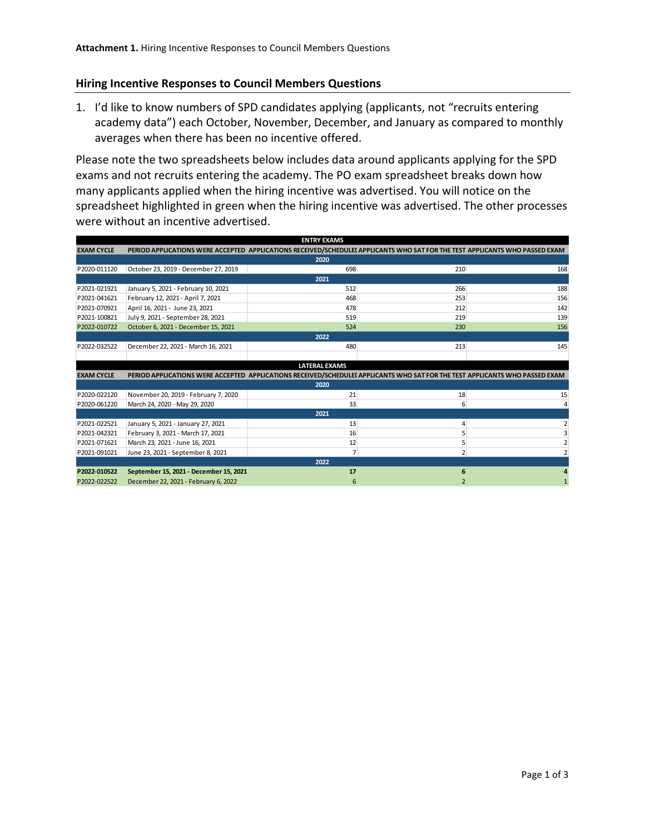### **Hiring Incentive Responses to Council Members Questions**

1. I'd like to know numbers of SPD candidates applying (applicants, not "recruits entering academy data") each October, November, December, and January as compared to monthly averages when there has been no incentive offered.

Please note the two spreadsheets below includes data around applicants applying for the SPD exams and not recruits entering the academy. The PO exam spreadsheet breaks down how many applicants applied when the hiring incentive was advertised. You will notice on the spreadsheet highlighted in green when the hiring incentive was advertised. The other processes were without an incentive advertised.

|                   | <b>ENTRY EXAMS</b>                                                                                                           |                      |     |     |  |  |  |
|-------------------|------------------------------------------------------------------------------------------------------------------------------|----------------------|-----|-----|--|--|--|
| <b>EXAM CYCLE</b> | PERIOD APPLICATIONS WERE ACCEPTED APPLICATIONS RECEIVED/SCHEDULEI APPLICANTS WHO SAT FOR THE TEST APPLICANTS WHO PASSED EXAM |                      |     |     |  |  |  |
|                   |                                                                                                                              | 2020                 |     |     |  |  |  |
| P2020-011120      | October 23, 2019 - December 27, 2019                                                                                         | 698                  | 210 | 168 |  |  |  |
|                   |                                                                                                                              | 2021                 |     |     |  |  |  |
| P2021-021921      | January 5, 2021 - February 10, 2021                                                                                          | 512                  | 266 | 188 |  |  |  |
| P2021-041621      | February 12, 2021 - April 7, 2021                                                                                            | 468                  | 253 | 156 |  |  |  |
| P2021-070921      | April 16, 2021 - June 23, 2021                                                                                               | 478                  | 212 | 142 |  |  |  |
| P2021-100821      | July 9, 2021 - September 28, 2021                                                                                            | 519                  | 219 | 139 |  |  |  |
| P2022-010722      | October 6, 2021 - December 15, 2021                                                                                          | 524                  | 230 | 156 |  |  |  |
|                   |                                                                                                                              | 2022                 |     |     |  |  |  |
| P2022-032522      | December 22, 2021 - March 16, 2021                                                                                           | 480                  | 213 | 145 |  |  |  |
|                   |                                                                                                                              |                      |     |     |  |  |  |
|                   |                                                                                                                              | <b>LATERAL EXAMS</b> |     |     |  |  |  |
| <b>EXAM CYCLE</b> | PERIOD APPLICATIONS WERE ACCEPTED APPLICATIONS RECEIVED/SCHEDULEI APPLICANTS WHO SAT FOR THE TEST APPLICANTS WHO PASSED EXAM |                      |     |     |  |  |  |
|                   |                                                                                                                              | 2020                 |     |     |  |  |  |
| P2020-022120      | November 20, 2019 - February 7, 2020                                                                                         | 21                   | 18  | 15  |  |  |  |
| P2020-061220      | March 24, 2020 - May 29, 2020                                                                                                | 33                   | 6   |     |  |  |  |
|                   |                                                                                                                              | 2021                 |     |     |  |  |  |
| P2021-022521      | January 5, 2021 - January 27, 2021                                                                                           | 13                   | Δ   |     |  |  |  |
| P2021-042321      | February 3, 2021 - March 17, 2021                                                                                            | 16                   |     |     |  |  |  |
| P2021-071621      | March 23, 2021 - June 16, 2021                                                                                               | 12                   |     |     |  |  |  |
| P2021-091021      | June 23, 2021 - September 8, 2021                                                                                            | $\overline{7}$       |     |     |  |  |  |
|                   |                                                                                                                              | 2022                 |     |     |  |  |  |
| P2022-010522      | September 15, 2021 - December 15, 2021                                                                                       | 17                   |     |     |  |  |  |
| P2022-022522      | December 22, 2021 - February 6, 2022                                                                                         |                      |     |     |  |  |  |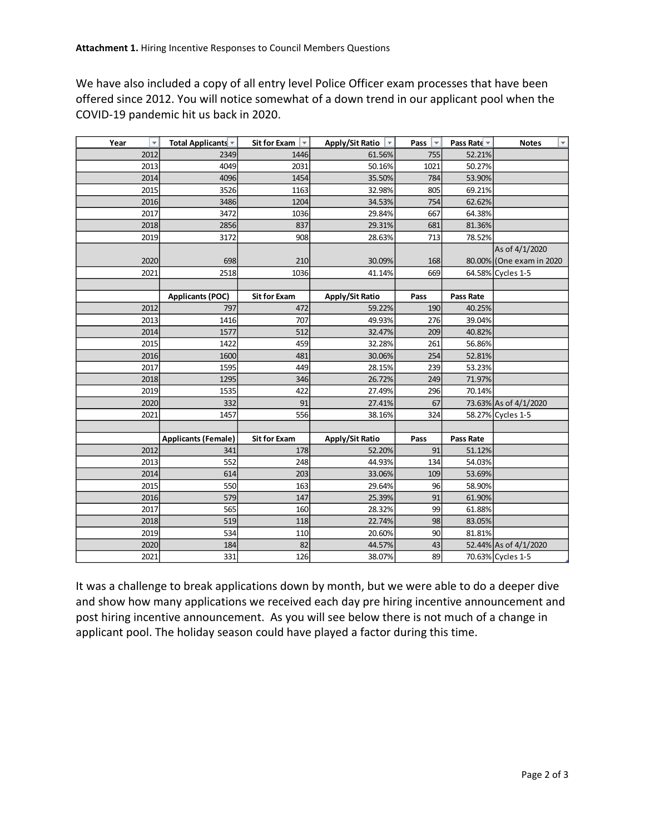We have also included a copy of all entry level Police Officer exam processes that have been offered since 2012. You will notice somewhat of a down trend in our applicant pool when the COVID-19 pandemic hit us back in 2020.

| Year<br>$\overline{\mathbf{v}}$ | Total Applicants *         | <b>Sit for Exam</b><br>$\overline{\mathbf{v}}$ | Apply/Sit Ratio        | Pass<br>$\overline{\mathbf{v}}$ | Pass Rate $\overline{\phantom{a}}$ | v<br><b>Notes</b>        |
|---------------------------------|----------------------------|------------------------------------------------|------------------------|---------------------------------|------------------------------------|--------------------------|
| 2012                            | 2349                       | 1446                                           | 61.56%                 | 755                             | 52.21%                             |                          |
| 2013                            | 4049                       | 2031                                           | 50.16%                 | 1021                            | 50.27%                             |                          |
| 2014                            | 4096                       | 1454                                           | 35.50%                 | 784                             | 53.90%                             |                          |
| 2015                            | 3526                       | 1163                                           | 32.98%                 | 805                             | 69.21%                             |                          |
| 2016                            | 3486                       | 1204                                           | 34.53%                 | 754                             | 62.62%                             |                          |
| 2017                            | 3472                       | 1036                                           | 29.84%                 | 667                             | 64.38%                             |                          |
| 2018                            | 2856                       | 837                                            | 29.31%                 | 681                             | 81.36%                             |                          |
| 2019                            | 3172                       | 908                                            | 28.63%                 | 713                             | 78.52%                             |                          |
|                                 |                            |                                                |                        |                                 |                                    | As of 4/1/2020           |
| 2020                            | 698                        | 210                                            | 30.09%                 | 168                             |                                    | 80.00% (One exam in 2020 |
| 2021                            | 2518                       | 1036                                           | 41.14%                 | 669                             |                                    | 64.58% Cycles 1-5        |
|                                 |                            |                                                |                        |                                 |                                    |                          |
|                                 | <b>Applicants (POC)</b>    | <b>Sit for Exam</b>                            | <b>Apply/Sit Ratio</b> | Pass                            | <b>Pass Rate</b>                   |                          |
| 2012                            | 797                        | 472                                            | 59.22%                 | 190                             | 40.25%                             |                          |
| 2013                            | 1416                       | 707                                            | 49.93%                 | 276                             | 39.04%                             |                          |
| 2014                            | 1577                       | 512                                            | 32.47%                 | 209                             | 40.82%                             |                          |
| 2015                            | 1422                       | 459                                            | 32.28%                 | 261                             | 56.86%                             |                          |
| 2016                            | 1600                       | 481                                            | 30.06%                 | 254                             | 52.81%                             |                          |
| 2017                            | 1595                       | 449                                            | 28.15%                 | 239                             | 53.23%                             |                          |
| 2018                            | 1295                       | 346                                            | 26.72%                 | 249                             | 71.97%                             |                          |
| 2019                            | 1535                       | 422                                            | 27.49%                 | 296                             | 70.14%                             |                          |
| 2020                            | 332                        | 91                                             | 27.41%                 | 67                              |                                    | 73.63% As of 4/1/2020    |
| 2021                            | 1457                       | 556                                            | 38.16%                 | 324                             |                                    | 58.27% Cycles 1-5        |
|                                 |                            |                                                |                        |                                 |                                    |                          |
|                                 | <b>Applicants (Female)</b> | <b>Sit for Exam</b>                            | <b>Apply/Sit Ratio</b> | Pass                            | Pass Rate                          |                          |
| 2012                            | 341                        | 178                                            | 52.20%                 | 91                              | 51.12%                             |                          |
| 2013                            | 552                        | 248                                            | 44.93%                 | 134                             | 54.03%                             |                          |
| 2014                            | 614                        | 203                                            | 33.06%                 | 109                             | 53.69%                             |                          |
| 2015                            | 550                        | 163                                            | 29.64%                 | 96                              | 58.90%                             |                          |
| 2016                            | 579                        | 147                                            | 25.39%                 | 91                              | 61.90%                             |                          |
| 2017                            | 565                        | 160                                            | 28.32%                 | 99                              | 61.88%                             |                          |
| 2018                            | 519                        | 118                                            | 22.74%                 | 98                              | 83.05%                             |                          |
| 2019                            | 534                        | 110                                            | 20.60%                 | 90                              | 81.81%                             |                          |
| 2020                            | 184                        | 82                                             | 44.57%                 | 43                              |                                    | 52.44% As of 4/1/2020    |
| 2021                            | 331                        | 126                                            | 38.07%                 | 89                              |                                    | 70.63% Cycles 1-5        |

It was a challenge to break applications down by month, but we were able to do a deeper dive and show how many applications we received each day pre hiring incentive announcement and post hiring incentive announcement. As you will see below there is not much of a change in applicant pool. The holiday season could have played a factor during this time.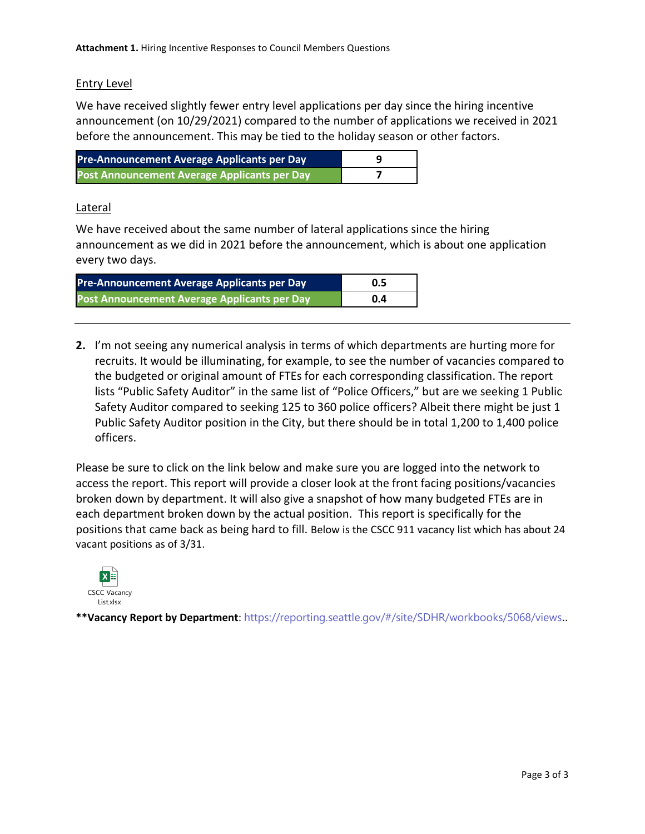### Entry Level

We have received slightly fewer entry level applications per day since the hiring incentive announcement (on 10/29/2021) compared to the number of applications we received in 2021 before the announcement. This may be tied to the holiday season or other factors.

| <b>Pre-Announcement Average Applicants per Day</b> |  |
|----------------------------------------------------|--|
| Post Announcement Average Applicants per Day       |  |

### Lateral

We have received about the same number of lateral applications since the hiring announcement as we did in 2021 before the announcement, which is about one application every two days.

| <b>Pre-Announcement Average Applicants per Day</b> | 0.5 |
|----------------------------------------------------|-----|
| Post Announcement Average Applicants per Day       | 0.4 |

**2.** I'm not seeing any numerical analysis in terms of which departments are hurting more for recruits. It would be illuminating, for example, to see the number of vacancies compared to the budgeted or original amount of FTEs for each corresponding classification. The report lists "Public Safety Auditor" in the same list of "Police Officers," but are we seeking 1 Public Safety Auditor compared to seeking 125 to 360 police officers? Albeit there might be just 1 Public Safety Auditor position in the City, but there should be in total 1,200 to 1,400 police officers.

Please be sure to click on the link below and make sure you are logged into the network to access the report. This report will provide a closer look at the front facing positions/vacancies broken down by department. It will also give a snapshot of how many budgeted FTEs are in each department broken down by the actual position. This report is specifically for the positions that came back as being hard to fill. Below is the CSCC 911 vacancy list which has about 24 vacant positions as of 3/31.



**\*\*Vacancy Report by Department**: <https://reporting.seattle.gov/#/site/SDHR/workbooks/5068/views>..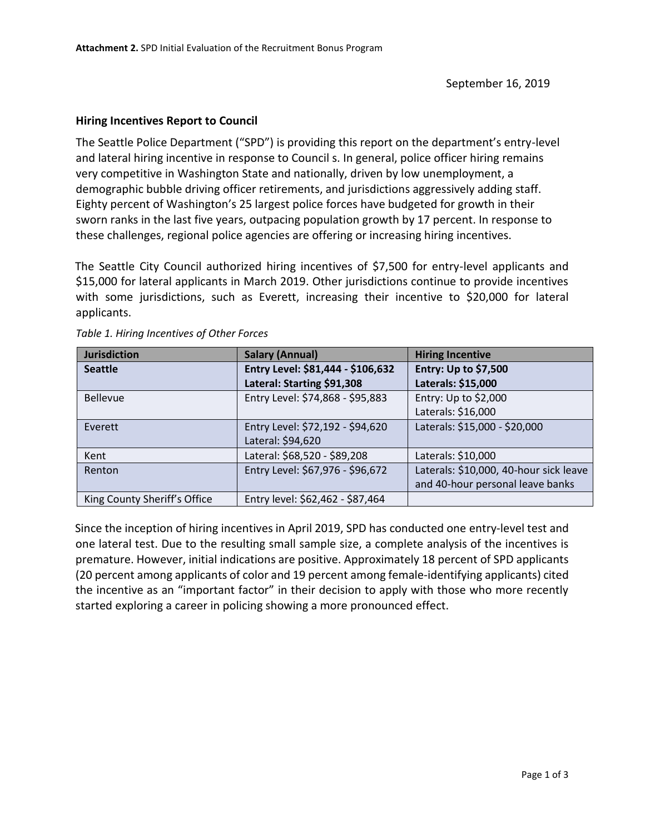### **Hiring Incentives Report to Council**

The Seattle Police Department ("SPD") is providing this report on the department's entry-level and lateral hiring incentive in response to Council s. In general, police officer hiring remains very competitive in Washington State and nationally, driven by low unemployment, a demographic bubble driving officer retirements, and jurisdictions aggressively adding staff. Eighty percent of Washington's 25 largest police forces have budgeted for growth in their sworn ranks in the last five years, outpacing population growth by 17 percent. In response to these challenges, regional police agencies are offering or increasing hiring incentives.

The Seattle City Council authorized hiring incentives of \$7,500 for entry-level applicants and \$15,000 for lateral applicants in March 2019. Other jurisdictions continue to provide incentives with some jurisdictions, such as Everett, increasing their incentive to \$20,000 for lateral applicants.

| <b>Jurisdiction</b>          | <b>Salary (Annual)</b>            | <b>Hiring Incentive</b>                |
|------------------------------|-----------------------------------|----------------------------------------|
| <b>Seattle</b>               | Entry Level: \$81,444 - \$106,632 | Entry: Up to \$7,500                   |
|                              | Lateral: Starting \$91,308        | Laterals: \$15,000                     |
| <b>Bellevue</b>              | Entry Level: \$74,868 - \$95,883  | Entry: Up to \$2,000                   |
|                              |                                   | Laterals: \$16,000                     |
| Everett                      | Entry Level: \$72,192 - \$94,620  | Laterals: \$15,000 - \$20,000          |
|                              | Lateral: \$94,620                 |                                        |
| Kent                         | Lateral: \$68,520 - \$89,208      | Laterals: \$10,000                     |
| Renton                       | Entry Level: \$67,976 - \$96,672  | Laterals: \$10,000, 40-hour sick leave |
|                              |                                   | and 40-hour personal leave banks       |
| King County Sheriff's Office | Entry level: \$62,462 - \$87,464  |                                        |

*Table 1. Hiring Incentives of Other Forces* 

Since the inception of hiring incentives in April 2019, SPD has conducted one entry-level test and one lateral test. Due to the resulting small sample size, a complete analysis of the incentives is premature. However, initial indications are positive. Approximately 18 percent of SPD applicants (20 percent among applicants of color and 19 percent among female-identifying applicants) cited the incentive as an "important factor" in their decision to apply with those who more recently started exploring a career in policing showing a more pronounced effect.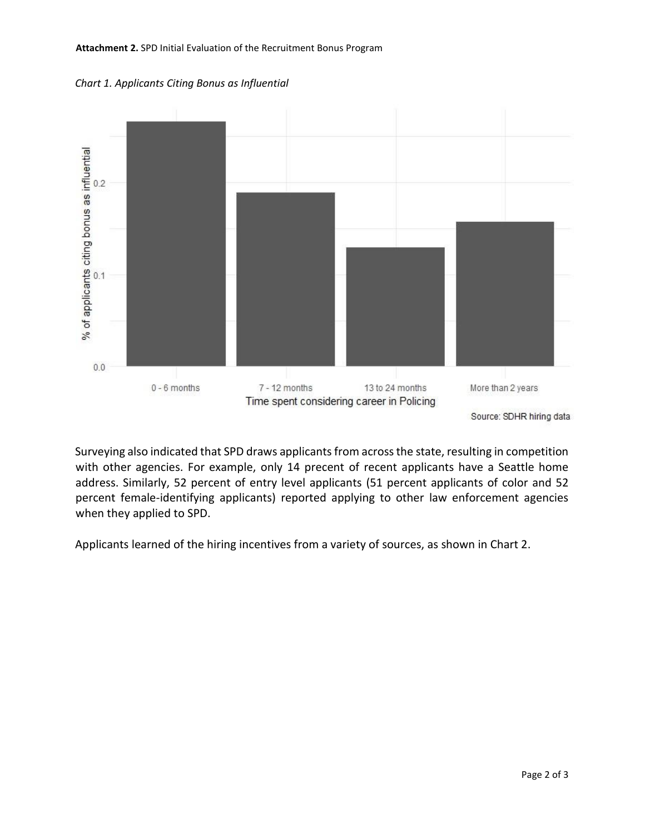#### **Attachment 2.** SPD Initial Evaluation of the Recruitment Bonus Program





Source: SDHR hiring data

Surveying also indicated that SPD draws applicants from across the state, resulting in competition with other agencies. For example, only 14 precent of recent applicants have a Seattle home address. Similarly, 52 percent of entry level applicants (51 percent applicants of color and 52 percent female-identifying applicants) reported applying to other law enforcement agencies when they applied to SPD.

Applicants learned of the hiring incentives from a variety of sources, as shown in Chart 2.